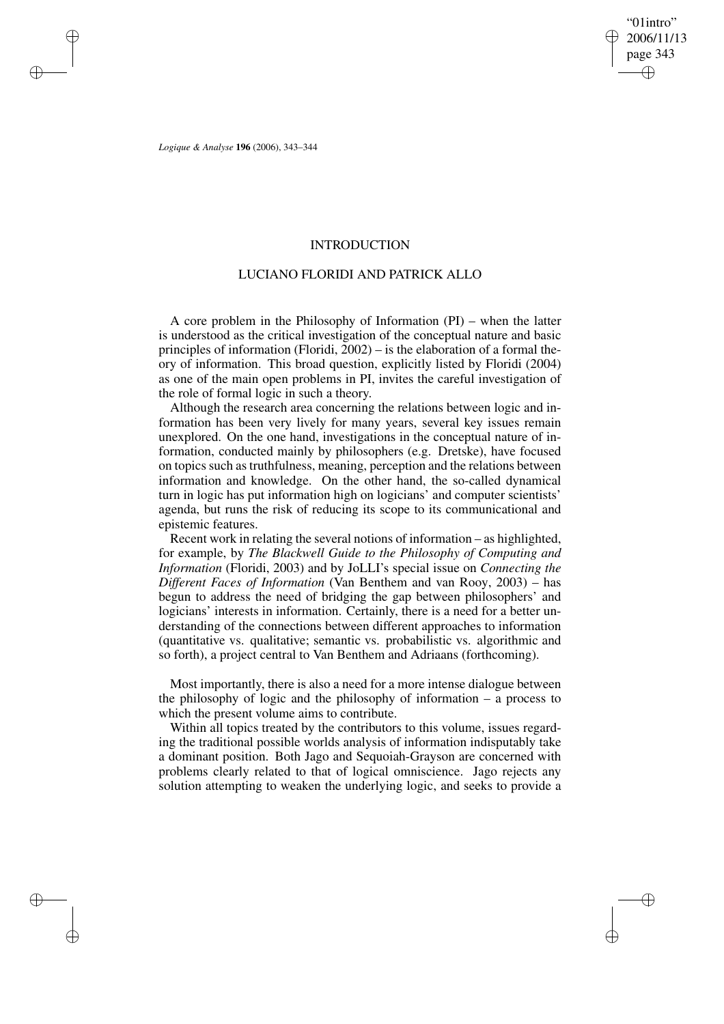"01intro" 2006/11/13 page 343 ✐ ✐

✐

✐

*Logique & Analyse* **196** (2006), 343–344

✐

✐

✐

✐

## INTRODUCTION

## LUCIANO FLORIDI AND PATRICK ALLO

A core problem in the Philosophy of Information (PI) – when the latter is understood as the critical investigation of the conceptual nature and basic principles of information (Floridi, 2002) – is the elaboration of a formal theory of information. This broad question, explicitly listed by Floridi (2004) as one of the main open problems in PI, invites the careful investigation of the role of formal logic in such a theory.

Although the research area concerning the relations between logic and information has been very lively for many years, several key issues remain unexplored. On the one hand, investigations in the conceptual nature of information, conducted mainly by philosophers (e.g. Dretske), have focused on topics such as truthfulness, meaning, perception and the relations between information and knowledge. On the other hand, the so-called dynamical turn in logic has put information high on logicians' and computer scientists' agenda, but runs the risk of reducing its scope to its communicational and epistemic features.

Recent work in relating the several notions of information – as highlighted, for example, by *The Blackwell Guide to the Philosophy of Computing and Information* (Floridi, 2003) and by JoLLI's special issue on *Connecting the Different Faces of Information* (Van Benthem and van Rooy, 2003) – has begun to address the need of bridging the gap between philosophers' and logicians' interests in information. Certainly, there is a need for a better understanding of the connections between different approaches to information (quantitative vs. qualitative; semantic vs. probabilistic vs. algorithmic and so forth), a project central to Van Benthem and Adriaans (forthcoming).

Most importantly, there is also a need for a more intense dialogue between the philosophy of logic and the philosophy of information – a process to which the present volume aims to contribute.

Within all topics treated by the contributors to this volume, issues regarding the traditional possible worlds analysis of information indisputably take a dominant position. Both Jago and Sequoiah-Grayson are concerned with problems clearly related to that of logical omniscience. Jago rejects any solution attempting to weaken the underlying logic, and seeks to provide a